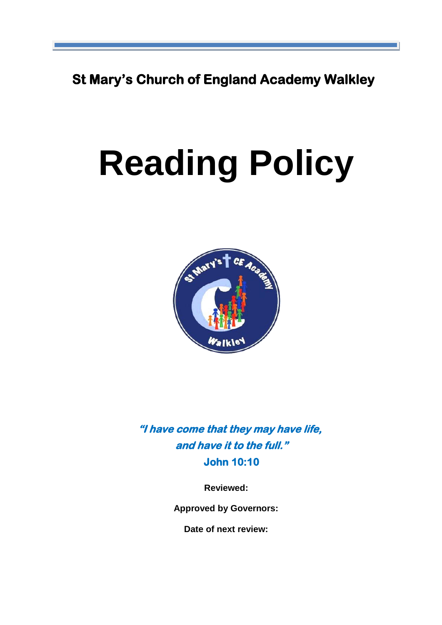**St Mary's Church of England Academy Walkley**

# **Reading Policy**



**"I have come that they may have life, and have it to the full." John 10:10** 

**Reviewed:** 

**Approved by Governors:**

**Date of next review:**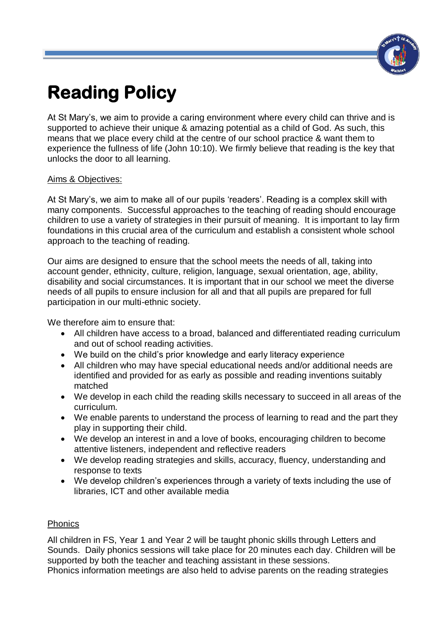

# **Reading Policy**

At St Mary's, we aim to provide a caring environment where every child can thrive and is supported to achieve their unique & amazing potential as a child of God. As such, this means that we place every child at the centre of our school practice & want them to experience the fullness of life (John 10:10). We firmly believe that reading is the key that unlocks the door to all learning.

# Aims & Objectives:

At St Mary's, we aim to make all of our pupils 'readers'. Reading is a complex skill with many components. Successful approaches to the teaching of reading should encourage children to use a variety of strategies in their pursuit of meaning. It is important to lay firm foundations in this crucial area of the curriculum and establish a consistent whole school approach to the teaching of reading.

Our aims are designed to ensure that the school meets the needs of all, taking into account gender, ethnicity, culture, religion, language, sexual orientation, age, ability, disability and social circumstances. It is important that in our school we meet the diverse needs of all pupils to ensure inclusion for all and that all pupils are prepared for full participation in our multi-ethnic society.

We therefore aim to ensure that:

- All children have access to a broad, balanced and differentiated reading curriculum and out of school reading activities.
- We build on the child's prior knowledge and early literacy experience
- All children who may have special educational needs and/or additional needs are identified and provided for as early as possible and reading inventions suitably matched
- We develop in each child the reading skills necessary to succeed in all areas of the curriculum.
- We enable parents to understand the process of learning to read and the part they play in supporting their child.
- We develop an interest in and a love of books, encouraging children to become attentive listeners, independent and reflective readers
- We develop reading strategies and skills, accuracy, fluency, understanding and response to texts
- We develop children's experiences through a variety of texts including the use of libraries, ICT and other available media

# **Phonics**

All children in FS, Year 1 and Year 2 will be taught phonic skills through Letters and Sounds. Daily phonics sessions will take place for 20 minutes each day. Children will be supported by both the teacher and teaching assistant in these sessions.

Phonics information meetings are also held to advise parents on the reading strategies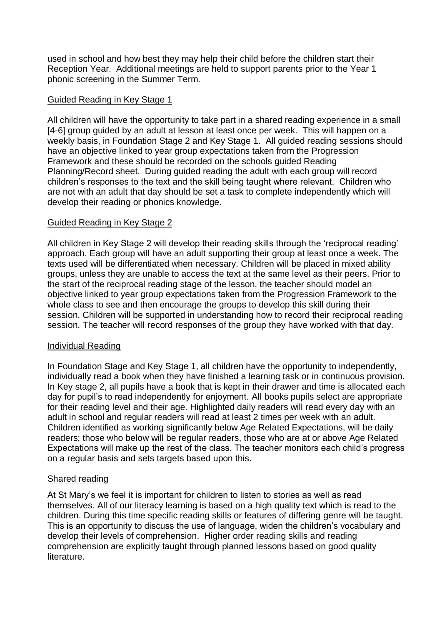used in school and how best they may help their child before the children start their Reception Year. Additional meetings are held to support parents prior to the Year 1 phonic screening in the Summer Term.

#### Guided Reading in Key Stage 1

All children will have the opportunity to take part in a shared reading experience in a small [4-6] group guided by an adult at lesson at least once per week. This will happen on a weekly basis, in Foundation Stage 2 and Key Stage 1. All guided reading sessions should have an objective linked to year group expectations taken from the Progression Framework and these should be recorded on the schools guided Reading Planning/Record sheet. During guided reading the adult with each group will record children's responses to the text and the skill being taught where relevant. Children who are not with an adult that day should be set a task to complete independently which will develop their reading or phonics knowledge.

#### Guided Reading in Key Stage 2

All children in Key Stage 2 will develop their reading skills through the 'reciprocal reading' approach. Each group will have an adult supporting their group at least once a week. The texts used will be differentiated when necessary. Children will be placed in mixed ability groups, unless they are unable to access the text at the same level as their peers. Prior to the start of the reciprocal reading stage of the lesson, the teacher should model an objective linked to year group expectations taken from the Progression Framework to the whole class to see and then encourage the groups to develop this skill during their session. Children will be supported in understanding how to record their reciprocal reading session. The teacher will record responses of the group they have worked with that day.

#### Individual Reading

In Foundation Stage and Key Stage 1, all children have the opportunity to independently, individually read a book when they have finished a learning task or in continuous provision. In Key stage 2, all pupils have a book that is kept in their drawer and time is allocated each day for pupil's to read independently for enjoyment. All books pupils select are appropriate for their reading level and their age. Highlighted daily readers will read every day with an adult in school and regular readers will read at least 2 times per week with an adult. Children identified as working significantly below Age Related Expectations, will be daily readers; those who below will be regular readers, those who are at or above Age Related Expectations will make up the rest of the class. The teacher monitors each child's progress on a regular basis and sets targets based upon this.

#### Shared reading

At St Mary's we feel it is important for children to listen to stories as well as read themselves. All of our literacy learning is based on a high quality text which is read to the children. During this time specific reading skills or features of differing genre will be taught. This is an opportunity to discuss the use of language, widen the children's vocabulary and develop their levels of comprehension. Higher order reading skills and reading comprehension are explicitly taught through planned lessons based on good quality literature.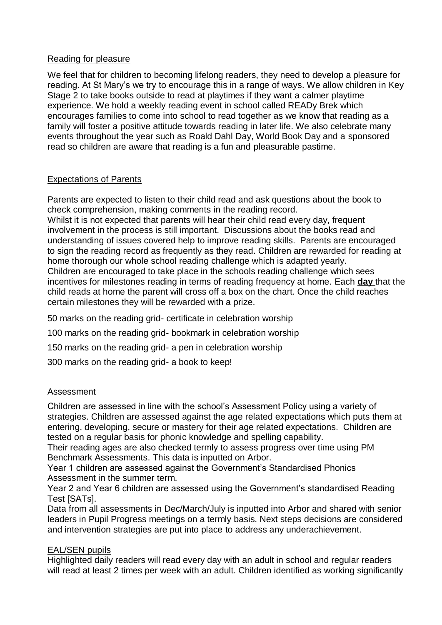#### Reading for pleasure

We feel that for children to becoming lifelong readers, they need to develop a pleasure for reading. At St Mary's we try to encourage this in a range of ways. We allow children in Key Stage 2 to take books outside to read at playtimes if they want a calmer playtime experience. We hold a weekly reading event in school called READy Brek which encourages families to come into school to read together as we know that reading as a family will foster a positive attitude towards reading in later life. We also celebrate many events throughout the year such as Roald Dahl Day, World Book Day and a sponsored read so children are aware that reading is a fun and pleasurable pastime.

# Expectations of Parents

Parents are expected to listen to their child read and ask questions about the book to check comprehension, making comments in the reading record.

Whilst it is not expected that parents will hear their child read every day, frequent involvement in the process is still important. Discussions about the books read and understanding of issues covered help to improve reading skills. Parents are encouraged to sign the reading record as frequently as they read. Children are rewarded for reading at home thorough our whole school reading challenge which is adapted yearly. Children are encouraged to take place in the schools reading challenge which sees incentives for milestones reading in terms of reading frequency at home. Each **day** that the child reads at home the parent will cross off a box on the chart. Once the child reaches certain milestones they will be rewarded with a prize.

50 marks on the reading grid- certificate in celebration worship

100 marks on the reading grid- bookmark in celebration worship

150 marks on the reading grid- a pen in celebration worship

300 marks on the reading grid- a book to keep!

# Assessment

Children are assessed in line with the school's Assessment Policy using a variety of strategies. Children are assessed against the age related expectations which puts them at entering, developing, secure or mastery for their age related expectations. Children are tested on a regular basis for phonic knowledge and spelling capability.

Their reading ages are also checked termly to assess progress over time using PM Benchmark Assessments. This data is inputted on Arbor.

Year 1 children are assessed against the Government's Standardised Phonics Assessment in the summer term.

Year 2 and Year 6 children are assessed using the Government's standardised Reading Test [SATs].

Data from all assessments in Dec/March/July is inputted into Arbor and shared with senior leaders in Pupil Progress meetings on a termly basis. Next steps decisions are considered and intervention strategies are put into place to address any underachievement.

# EAL/SEN pupils

Highlighted daily readers will read every day with an adult in school and regular readers will read at least 2 times per week with an adult. Children identified as working significantly